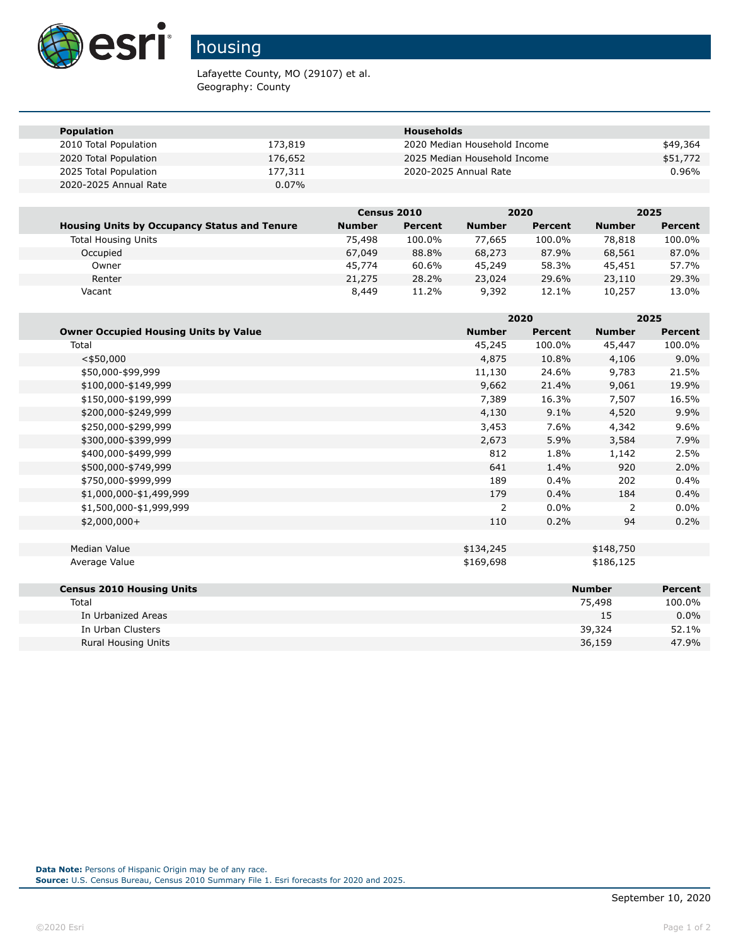

## housing

Lafayette County, MO (29107) et al. Geography: County

| <b>Population</b>     |          | <b>Households</b>            |          |
|-----------------------|----------|------------------------------|----------|
| 2010 Total Population | 173,819  | 2020 Median Household Income | \$49,364 |
| 2020 Total Population | 176,652  | 2025 Median Household Income | \$51,772 |
| 2025 Total Population | 177,311  | 2020-2025 Annual Rate        | $0.96\%$ |
| 2020-2025 Annual Rate | $0.07\%$ |                              |          |

|                                                     | <b>Census 2010</b> |         |               | 2020    |               | 2025    |
|-----------------------------------------------------|--------------------|---------|---------------|---------|---------------|---------|
| <b>Housing Units by Occupancy Status and Tenure</b> | <b>Number</b>      | Percent | <b>Number</b> | Percent | <b>Number</b> | Percent |
| <b>Total Housing Units</b>                          | 75,498             | 100.0%  | 77.665        | 100.0%  | 78,818        | 100.0%  |
| Occupied                                            | 67,049             | 88.8%   | 68,273        | 87.9%   | 68,561        | 87.0%   |
| Owner                                               | 45,774             | 60.6%   | 45,249        | 58.3%   | 45,451        | 57.7%   |
| Renter                                              | 21,275             | 28.2%   | 23,024        | 29.6%   | 23,110        | 29.3%   |
| Vacant                                              | 8,449              | 11.2%   | 9,392         | 12.1%   | 10,257        | 13.0%   |

|                                              |               | 2020           |               | 2025           |  |
|----------------------------------------------|---------------|----------------|---------------|----------------|--|
| <b>Owner Occupied Housing Units by Value</b> | <b>Number</b> | <b>Percent</b> | <b>Number</b> | <b>Percent</b> |  |
| Total                                        | 45,245        | 100.0%         | 45,447        | 100.0%         |  |
| $<$ \$50,000                                 | 4,875         | 10.8%          | 4,106         | 9.0%           |  |
| \$50,000-\$99,999                            | 11,130        | 24.6%          | 9,783         | 21.5%          |  |
| \$100,000-\$149,999                          | 9,662         | 21.4%          | 9,061         | 19.9%          |  |
| \$150,000-\$199,999                          | 7,389         | 16.3%          | 7,507         | 16.5%          |  |
| \$200,000-\$249,999                          | 4,130         | 9.1%           | 4,520         | 9.9%           |  |
| \$250,000-\$299,999                          | 3,453         | 7.6%           | 4,342         | 9.6%           |  |
| \$300,000-\$399,999                          | 2,673         | 5.9%           | 3,584         | 7.9%           |  |
| \$400,000-\$499,999                          | 812           | 1.8%           | 1,142         | 2.5%           |  |
| \$500,000-\$749,999                          | 641           | 1.4%           | 920           | 2.0%           |  |
| \$750,000-\$999,999                          | 189           | 0.4%           | 202           | 0.4%           |  |
| \$1,000,000-\$1,499,999                      | 179           | 0.4%           | 184           | 0.4%           |  |
| \$1,500,000-\$1,999,999                      | 2             | $0.0\%$        | 2             | $0.0\%$        |  |
| $$2,000,000+$                                | 110           | 0.2%           | 94            | 0.2%           |  |
| Median Value                                 | \$134,245     |                | \$148,750     |                |  |
| Average Value                                | \$169,698     |                | \$186,125     |                |  |
| <b>Census 2010 Housing Units</b>             |               |                | <b>Number</b> | <b>Percent</b> |  |
| Total                                        |               |                | 75,498        | 100.0%         |  |
| In Urbanized Areas                           |               |                | 15            | 0.0%           |  |
| In Urban Clusters                            |               |                | 39,324        | 52.1%          |  |
| <b>Rural Housing Units</b>                   |               |                | 36,159        | 47.9%          |  |

**Data Note:** Persons of Hispanic Origin may be of any race. **Source:** U.S. Census Bureau, Census 2010 Summary File 1. Esri forecasts for 2020 and 2025.